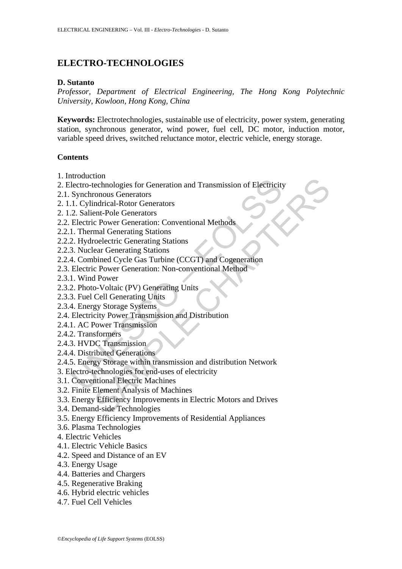# **ELECTRO-TECHNOLOGIES**

#### **D. Sutanto**

*Professor, Department of Electrical Engineering, The Hong Kong Polytechnic University, Kowloon, Hong Kong, China* 

**Keywords:** Electrotechnologies, sustainable use of electricity, power system, generating station, synchronous generator, wind power, fuel cell, DC motor, induction motor, variable speed drives, switched reluctance motor, electric vehicle, energy storage.

#### **Contents**

- 1. Introduction
- From the electric metastron and Transmission of Electricity<br>
renous Generators<br>
ent-Pole Generators<br>
rent-Pole Characters<br>
rent-Pole Characters<br>
renous Characters<br>
renous Characters<br>
renous Characters<br>
renous Concelectic G 2. Electro-technologies for Generation and Transmission of Electricity
- 2.1. Synchronous Generators
- 2. 1.1. Cylindrical-Rotor Generators
- 2. 1.2. Salient-Pole Generators
- 2.2. Electric Power Generation: Conventional Methods
- 2.2.1. Thermal Generating Stations
- 2.2.2. Hydroelectric Generating Stations
- 2.2.3. Nuclear Generating Stations
- 2.2.4. Combined Cycle Gas Turbine (CCGT) and Cogeneration
- 2.3. Electric Power Generation: Non-conventional Method
- 2.3.1. Wind Power
- 2.3.2. Photo-Voltaic (PV) Generating Units
- 2.3.3. Fuel Cell Generating Units
- 2.3.4. Energy Storage Systems
- 2.4. Electricity Power Transmission and Distribution
- 2.4.1. AC Power Transmission
- 2.4.2. Transformers
- 2.4.3. HVDC Transmission
- 2.4.4. Distributed Generations
- mostation<br>
Incorecto-technologies for Generation and Transmission of Electricity<br>
Synchronous Generators<br>
1. Cylindrical-Rotor Generators<br>
2. Salient-Pole Generators<br>
2. Salient-Pole Generation: Conventional Methods<br>
1. Th 2.4.5. Energy Storage within transmission and distribution Network
- 3. Electro-technologies for end-uses of electricity
- 3.1. Conventional Electric Machines
- 3.2. Finite Element Analysis of Machines
- 3.3. Energy Efficiency Improvements in Electric Motors and Drives
- 3.4. Demand-side Technologies
- 3.5. Energy Efficiency Improvements of Residential Appliances
- 3.6. Plasma Technologies
- 4. Electric Vehicles
- 4.1. Electric Vehicle Basics
- 4.2. Speed and Distance of an EV
- 4.3. Energy Usage
- 4.4. Batteries and Chargers
- 4.5. Regenerative Braking
- 4.6. Hybrid electric vehicles
- 4.7. Fuel Cell Vehicles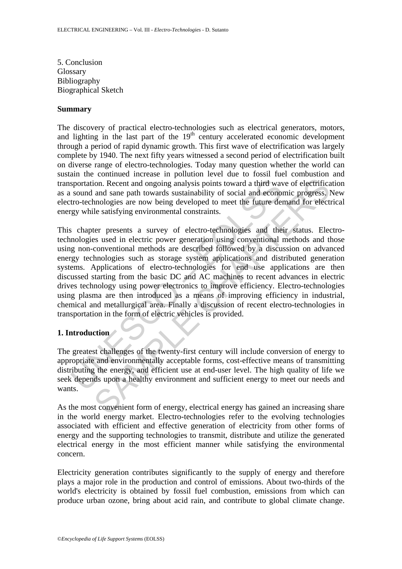5. Conclusion Glossary Bibliography Biographical Sketch

#### **Summary**

The discovery of practical electro-technologies such as electrical generators, motors, and lighting in the last part of the  $19<sup>th</sup>$  century accelerated economic development through a period of rapid dynamic growth. This first wave of electrification was largely complete by 1940. The next fifty years witnessed a second period of electrification built on diverse range of electro-technologies. Today many question whether the world can sustain the continued increase in pollution level due to fossil fuel combustion and transportation. Recent and ongoing analysis points toward a third wave of electrification as a sound and sane path towards sustainability of social and economic progress. New electro-technologies are now being developed to meet the future demand for electrical energy while satisfying environmental constraints.

sportation. Recent and ongoing analysis points toward a third was sound and sane path towards sustainability of social and econom tro-technologies are now being developed to meet the future dergy while satisfying environme ion. Recent and ongoing analysis points toward a third wave of electrification. Recent and ongoing analysis points toward a third wave of electrification same path towards sustainability of social and economic progress. In This chapter presents a survey of electro-technologies and their status. Electrotechnologies used in electric power generation using conventional methods and those using non-conventional methods are described followed by a discussion on advanced energy technologies such as storage system applications and distributed generation systems. Applications of electro-technologies for end use applications are then discussed starting from the basic DC and AC machines to recent advances in electric drives technology using power electronics to improve efficiency. Electro-technologies using plasma are then introduced as a means of improving efficiency in industrial, chemical and metallurgical area. Finally a discussion of recent electro-technologies in transportation in the form of electric vehicles is provided.

# **1. Introduction**

The greatest challenges of the twenty-first century will include conversion of energy to appropriate and environmentally acceptable forms, cost-effective means of transmitting distributing the energy, and efficient use at end-user level. The high quality of life we seek depends upon a healthy environment and sufficient energy to meet our needs and wants.

As the most convenient form of energy, electrical energy has gained an increasing share in the world energy market. Electro-technologies refer to the evolving technologies associated with efficient and effective generation of electricity from other forms of energy and the supporting technologies to transmit, distribute and utilize the generated electrical energy in the most efficient manner while satisfying the environmental concern.

Electricity generation contributes significantly to the supply of energy and therefore plays a major role in the production and control of emissions. About two-thirds of the world's electricity is obtained by fossil fuel combustion, emissions from which can produce urban ozone, bring about acid rain, and contribute to global climate change.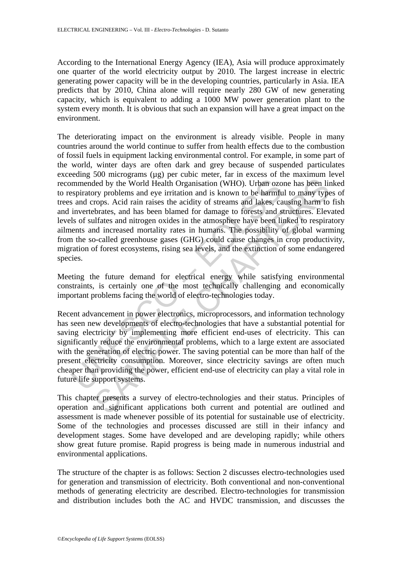According to the International Energy Agency (IEA), Asia will produce approximately one quarter of the world electricity output by 2010. The largest increase in electric generating power capacity will be in the developing countries, particularly in Asia. IEA predicts that by 2010, China alone will require nearly 280 GW of new generating capacity, which is equivalent to adding a 1000 MW power generation plant to the system every month. It is obvious that such an expansion will have a great impact on the environment.

mmended by the World Health Organisation (WHO). Urban ozo<br>spiratory problems and eye irritation and is known to be harmfu<br>s and crops. Acid rain raises the acidity of streams and lakes, ca<br>invertebrates, and has been blame deal by the World Health Organisation (WHO). Urban ozone has been liny problems and eye irritation and is known to be harmful to many type props. Acid rain raises the acidity of streams and lakes, causing harm to be the se The deteriorating impact on the environment is already visible. People in many countries around the world continue to suffer from health effects due to the combustion of fossil fuels in equipment lacking environmental control. For example, in some part of the world, winter days are often dark and grey because of suspended particulates exceeding 500 micrograms (ug) per cubic meter, far in excess of the maximum level recommended by the World Health Organisation (WHO). Urban ozone has been linked to respiratory problems and eye irritation and is known to be harmful to many types of trees and crops. Acid rain raises the acidity of streams and lakes, causing harm to fish and invertebrates, and has been blamed for damage to forests and structures. Elevated levels of sulfates and nitrogen oxides in the atmosphere have been linked to respiratory ailments and increased mortality rates in humans. The possibility of global warming from the so-called greenhouse gases (GHG) could cause changes in crop productivity, migration of forest ecosystems, rising sea levels, and the extinction of some endangered species.

Meeting the future demand for electrical energy while satisfying environmental constraints, is certainly one of the most technically challenging and economically important problems facing the world of electro-technologies today.

Recent advancement in power electronics, microprocessors, and information technology has seen new developments of electro-technologies that have a substantial potential for saving electricity by implementing more efficient end-uses of electricity. This can significantly reduce the environmental problems, which to a large extent are associated with the generation of electric power. The saving potential can be more than half of the present electricity consumption. Moreover, since electricity savings are often much cheaper than providing the power, efficient end-use of electricity can play a vital role in future life support systems.

This chapter presents a survey of electro-technologies and their status. Principles of operation and significant applications both current and potential are outlined and assessment is made whenever possible of its potential for sustainable use of electricity. Some of the technologies and processes discussed are still in their infancy and development stages. Some have developed and are developing rapidly; while others show great future promise. Rapid progress is being made in numerous industrial and environmental applications.

The structure of the chapter is as follows: Section 2 discusses electro-technologies used for generation and transmission of electricity. Both conventional and non-conventional methods of generating electricity are described. Electro-technologies for transmission and distribution includes both the AC and HVDC transmission, and discusses the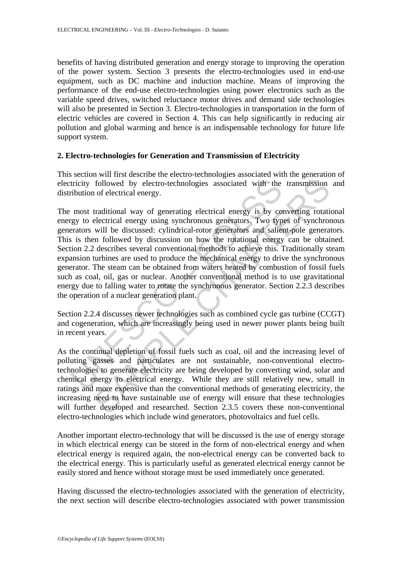benefits of having distributed generation and energy storage to improving the operation of the power system. Section 3 presents the electro-technologies used in end-use equipment, such as DC machine and induction machine. Means of improving the performance of the end-use electro-technologies using power electronics such as the variable speed drives, switched reluctance motor drives and demand side technologies will also be presented in Section 3. Electro-technologies in transportation in the form of electric vehicles are covered in Section 4. This can help significantly in reducing air pollution and global warming and hence is an indispensable technology for future life support system.

### **2. Electro-technologies for Generation and Transmission of Electricity**

This section will first describe the electro-technologies associated with the generation of electricity followed by electro-technologies associated with the transmission and distribution of electrical energy.

tricity followed by electro-technologies associated with the<br>ribution of electrical energy.<br>most traditional way of generating electrical energy is by co<br>ratos and the discussed: cylindrical-rotor generators and salies<br>is followed by electro-technologies associated with the transmission<br>of electrical energy.<br>Traditional way of generating electrical energy is by converting rotati<br>electrical energy using synchronous generators. Two types of s The most traditional way of generating electrical energy is by converting rotational energy to electrical energy using synchronous generators. Two types of synchronous generators will be discussed: cylindrical-rotor generators and salient-pole generators. This is then followed by discussion on how the rotational energy can be obtained. Section 2.2 describes several conventional methods to achieve this. Traditionally steam expansion turbines are used to produce the mechanical energy to drive the synchronous generator. The steam can be obtained from waters heated by combustion of fossil fuels such as coal, oil, gas or nuclear. Another conventional method is to use gravitational energy due to falling water to rotate the synchronous generator. Section 2.2.3 describes the operation of a nuclear generation plant.

Section 2.2.4 discusses newer technologies such as combined cycle gas turbine (CCGT) and cogeneration, which are increasingly being used in newer power plants being built in recent years.

As the continual depletion of fossil fuels such as coal, oil and the increasing level of polluting gasses and particulates are not sustainable, non-conventional electrotechnologies to generate electricity are being developed by converting wind, solar and chemical energy to electrical energy. While they are still relatively new, small in ratings and more expensive than the conventional methods of generating electricity, the increasing need to have sustainable use of energy will ensure that these technologies will further developed and researched. Section 2.3.5 covers these non-conventional electro-technologies which include wind generators, photovoltaics and fuel cells.

Another important electro-technology that will be discussed is the use of energy storage in which electrical energy can be stored in the form of non-electrical energy and when electrical energy is required again, the non-electrical energy can be converted back to the electrical energy. This is particularly useful as generated electrical energy cannot be easily stored and hence without storage must be used immediately once generated.

Having discussed the electro-technologies associated with the generation of electricity, the next section will describe electro-technologies associated with power transmission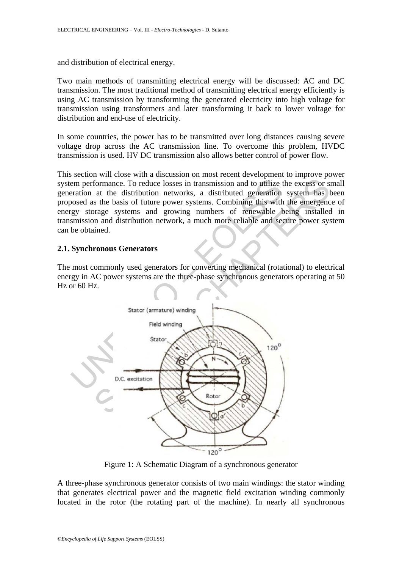and distribution of electrical energy.

Two main methods of transmitting electrical energy will be discussed: AC and DC transmission. The most traditional method of transmitting electrical energy efficiently is using AC transmission by transforming the generated electricity into high voltage for transmission using transformers and later transforming it back to lower voltage for distribution and end-use of electricity.

In some countries, the power has to be transmitted over long distances causing severe voltage drop across the AC transmission line. To overcome this problem, HVDC transmission is used. HV DC transmission also allows better control of power flow.

This section will close with a discussion on most recent development to improve power system performance. To reduce losses in transmission and to utilize the excess or small generation at the distribution networks, a distributed generation system has been proposed as the basis of future power systems. Combining this with the emergence of energy storage systems and growing numbers of renewable being installed in transmission and distribution network, a much more reliable and secure power system can be obtained.

### **2.1. Synchronous Generators**

The most commonly used generators for converting mechanical (rotational) to electrical energy in AC power systems are the three-phase synchronous generators operating at 50 Hz or 60 Hz.



Figure 1: A Schematic Diagram of a synchronous generator

A three-phase synchronous generator consists of two main windings: the stator winding that generates electrical power and the magnetic field excitation winding commonly located in the rotor (the rotating part of the machine). In nearly all synchronous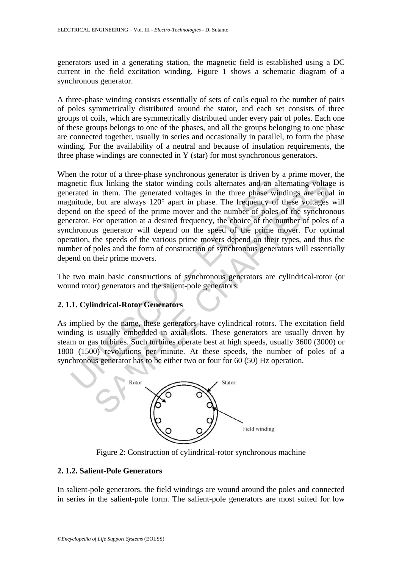generators used in a generating station, the magnetic field is established using a DC current in the field excitation winding. Figure 1 shows a schematic diagram of a synchronous generator.

A three-phase winding consists essentially of sets of coils equal to the number of pairs of poles symmetrically distributed around the stator, and each set consists of three groups of coils, which are symmetrically distributed under every pair of poles. Each one of these groups belongs to one of the phases, and all the groups belonging to one phase are connected together, usually in series and occasionally in parallel, to form the phase winding. For the availability of a neutral and because of insulation requirements, the three phase windings are connected in Y (star) for most synchronous generators.

metic flux linking the stator winding coils alternates and an alterated in them. The generated voltages in the three phase winducted in them. The generated voltages in the three phase winducted, but are always 120° apart i The state and the state winding coils alternates and an alternating voltage in them. The generated voltages in the three phase windings are equality in them. The generated voltages in the three phase windings are equality When the rotor of a three-phase synchronous generator is driven by a prime mover, the magnetic flux linking the stator winding coils alternates and an alternating voltage is generated in them. The generated voltages in the three phase windings are equal in magnitude, but are always 120° apart in phase. The frequency of these voltages will depend on the speed of the prime mover and the number of poles of the synchronous generator. For operation at a desired frequency, the choice of the number of poles of a synchronous generator will depend on the speed of the prime mover. For optimal operation, the speeds of the various prime movers depend on their types, and thus the number of poles and the form of construction of synchronous generators will essentially depend on their prime movers.

The two main basic constructions of synchronous generators are cylindrical-rotor (or wound rotor) generators and the salient-pole generators.

# **2. 1.1. Cylindrical-Rotor Generators**

As implied by the name, these generators have cylindrical rotors. The excitation field winding is usually embedded in axial slots. These generators are usually driven by steam or gas turbines. Such turbines operate best at high speeds, usually 3600 (3000) or 1800 (1500) revolutions per minute. At these speeds, the number of poles of a synchronous generator has to be either two or four for 60 (50) Hz operation.



Figure 2: Construction of cylindrical-rotor synchronous machine

# **2. 1.2. Salient-Pole Generators**

In salient-pole generators, the field windings are wound around the poles and connected in series in the salient-pole form. The salient-pole generators are most suited for low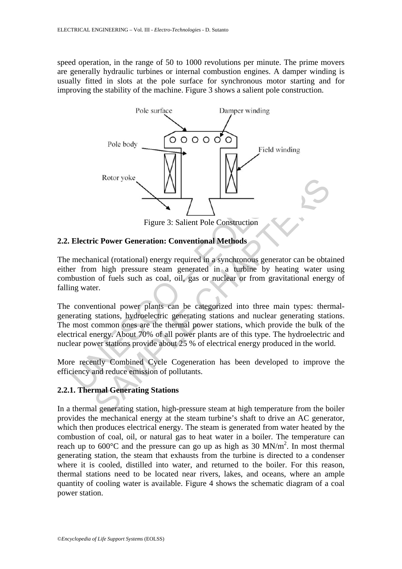speed operation, in the range of 50 to 1000 revolutions per minute. The prime movers are generally hydraulic turbines or internal combustion engines. A damper winding is usually fitted in slots at the pole surface for synchronous motor starting and for improving the stability of the machine. Figure 3 shows a salient pole construction.



Figure 3: Salient Pole Construction

# **2.2. Electric Power Generation: Conventional Methods**

The mechanical (rotational) energy required in a synchronous generator can be obtained either from high pressure steam generated in a turbine by heating water using combustion of fuels such as coal, oil, gas or nuclear or from gravitational energy of falling water.

Figure 3: Salient Pole Construction<br>
Figure 3: Salient Pole Construction<br>
Electric Power Generation: Conventional Methods<br>
mechanical (rotational) energy required in a synchronous generate<br>
ter from high pressure steam gen Figure 3: Salient Pole Construction<br>
Figure 3: Salient Pole Construction<br>
ic Power Generation: Conventional Methods<br>
mical (rotational) energy required in a synchronous generator can be obta<br>
m high pressure steam generate The conventional power plants can be categorized into three main types: thermalgenerating stations, hydroelectric generating stations and nuclear generating stations. The most common ones are the thermal power stations, which provide the bulk of the electrical energy. About 70% of all power plants are of this type. The hydroelectric and nuclear power stations provide about 25 % of electrical energy produced in the world.

More recently Combined Cycle Cogeneration has been developed to improve the efficiency and reduce emission of pollutants.

# **2.2.1. Thermal Generating Stations**

In a thermal generating station, high-pressure steam at high temperature from the boiler provides the mechanical energy at the steam turbine's shaft to drive an AC generator, which then produces electrical energy. The steam is generated from water heated by the combustion of coal, oil, or natural gas to heat water in a boiler. The temperature can reach up to  $600^{\circ}$ C and the pressure can go up as high as 30 MN/m<sup>2</sup>. In most thermal generating station, the steam that exhausts from the turbine is directed to a condenser where it is cooled, distilled into water, and returned to the boiler. For this reason, thermal stations need to be located near rivers, lakes, and oceans, where an ample quantity of cooling water is available. Figure 4 shows the schematic diagram of a coal power station.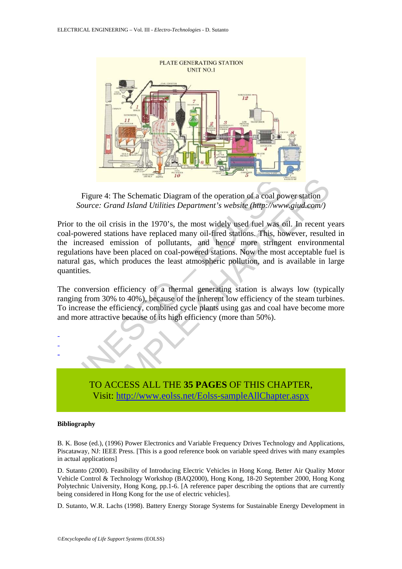

Figure 4: The Schematic Diagram of the operation of a coal power station *Source: Grand Island Utilities Department's website (http://www.giud.com/)* 

Figure 4: The Schematic Diagram of the operation of a coal pc<br>Source: Grand Island Utilities Department's website (http://ww<br>r to the oil crisis in the 1970's, the most widely used fuel was -powered stations have replaced The Schematic Diagram of the operation of a coal power station<br>
e.: Grand Island Utilities Department's website (http://www.giud.com/)<br>
e oil crisis in the 1970's, the most widely used fuel was oil. In recent yed stations Prior to the oil crisis in the 1970's, the most widely used fuel was oil. In recent years coal-powered stations have replaced many oil-fired stations. This, however, resulted in the increased emission of pollutants, and hence more stringent environmental regulations have been placed on coal-powered stations. Now the most acceptable fuel is natural gas, which produces the least atmospheric pollution, and is available in large quantities.

The conversion efficiency of a thermal generating station is always low (typically ranging from 30% to 40%), because of the inherent low efficiency of the steam turbines. To increase the efficiency, combined cycle plants using gas and coal have become more and more attractive because of its high efficiency (more than 50%).

> TO ACCESS ALL THE **35 PAGES** OF THIS CHAPTER, Visit: http://www.eolss.net/Eolss-sampleAllChapter.aspx

#### **Bibliography**

- - -

B. K. Bose (ed.), (1996) Power Electronics and Variable Frequency Drives Technology and Applications, Piscataway, NJ: IEEE Press. [This is a good reference book on variable speed drives with many examples in actual applications]

D. Sutanto (2000). Feasibility of Introducing Electric Vehicles in Hong Kong. Better Air Quality Motor Vehicle Control & Technology Workshop (BAQ2000), Hong Kong, 18-20 September 2000, Hong Kong Polytechnic University, Hong Kong, pp.1-6. [A reference paper describing the options that are currently being considered in Hong Kong for the use of electric vehicles].

D. Sutanto, W.R. Lachs (1998). Battery Energy Storage Systems for Sustainable Energy Development in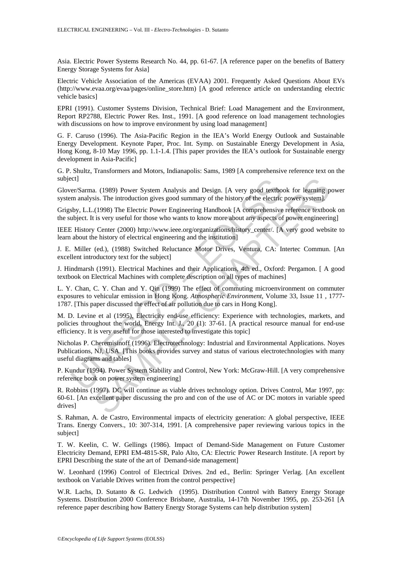Asia. Electric Power Systems Research No. 44, pp. 61-67. [A reference paper on the benefits of Battery Energy Storage Systems for Asia]

Electric Vehicle Association of the Americas (EVAA) 2001. Frequently Asked Questions About EVs (http://www.evaa.org/evaa/pages/online\_store.htm) [A good reference article on understanding electric vehicle basics]

EPRI (1991). Customer Systems Division, Technical Brief: Load Management and the Environment, Report RP2788, Electric Power Res. Inst., 1991. [A good reference on load management technologies with discussions on how to improve environment by using load management]

G. F. Caruso (1996). The Asia-Pacific Region in the IEA's World Energy Outlook and Sustainable Energy Development. Keynote Paper, Proc. Int. Symp. on Sustainable Energy Development in Asia, Hong Kong, 8-10 May 1996, pp. 1.1-1.4. [This paper provides the IEA's outlook for Sustainable energy development in Asia-Pacific]

G. P. Shultz, Transformers and Motors, Indianapolis: Sams, 1989 [A comprehensive reference text on the subject]

Glover/Sarma. (1989) Power System Analysis and Design. [A very good textbook for learning power system analysis. The introduction gives good summary of the history of the electric power system].

Grigsby, L.L.(1998) The Electric Power Engineering Handbook [A comprehensive reference textbook on the subject. It is very useful for those who wants to know more about any aspects of power engineering]

IEEE History Center (2000) http://www.ieee.org/organizations/history\_center/. [A very good website to learn about the history of electrical engineering and the institution]

J. E. Miller (ed.), (1988) Switched Reluctance Motor Drives, Ventura, CA: Intertec Commun. [An excellent introductory text for the subject]

J. Hindmarsh (1991). Electrical Machines and their Applications, 4th ed., Oxford: Pergamon. [ A good textbook on Electrical Machines with complete description on all types of machines]

L. Y. Chan, C. Y. Chan and Y. Qin (1999) The effect of commuting microenvironment on commuter exposures to vehicular emission in Hong Kong. *Atmospheric Environment*, Volume 33, Issue 11 , 1777- 1787. [This paper discussed the effect of air pollution due to cars in Hong Kong].

M. D. Levine et al (1995), Electricity end-use efficiency: Experience with technologies, markets, and policies throughout the world, Energy Int. J., 20 (1): 37-61. [A practical resource manual for end-use efficiency. It is very useful for those interested to investigate this topic]

ct]<br>mana, (1989) Power System Analysis and Design. [A very good textborm analysis. The introduction gives good summary of the history of the electric<br>m analysis. The introduction gives good summary of the history of the el a. (1989) Power System Analysis and Design. [A very good textbook for learning piss. The introduction gives good summary of the history of the electric power system]. (1998) The Electric Power Engineering Handbook [A compr Nicholas P. Cheremisinoff (1996). Electrotechnology: Industrial and Environmental Applications. Noyes Publications, NJ, USA. [This books provides survey and status of various electrotechnologies with many useful diagrams and tables]

P. Kundur (1994). Power System Stability and Control, New York: McGraw-Hill. [A very comprehensive reference book on power system engineering]

R. Robbins (1997). DC will continue as viable drives technology option. Drives Control, Mar 1997, pp: 60-61. [An excellent paper discussing the pro and con of the use of AC or DC motors in variable speed drives]

S. Rahman, A. de Castro, Environmental impacts of electricity generation: A global perspective, IEEE Trans. Energy Convers., 10: 307-314, 1991. [A comprehensive paper reviewing various topics in the subject]

T. W. Keelin, C. W. Gellings (1986). Impact of Demand-Side Management on Future Customer Electricity Demand, EPRI EM-4815-SR, Palo Alto, CA: Electric Power Research Institute. [A report by EPRI Describing the state of the art of Demand-side management]

W. Leonhard (1996) Control of Electrical Drives. 2nd ed., Berlin: Springer Verlag. [An excellent textbook on Variable Drives written from the control perspective]

W.R. Lachs, D. Sutanto & G. Ledwich (1995). Distribution Control with Battery Energy Storage Systems. Distribution 2000 Conference Brisbane, Australia, 14-17th November 1995, pp. 253-261 [A reference paper describing how Battery Energy Storage Systems can help distribution system]